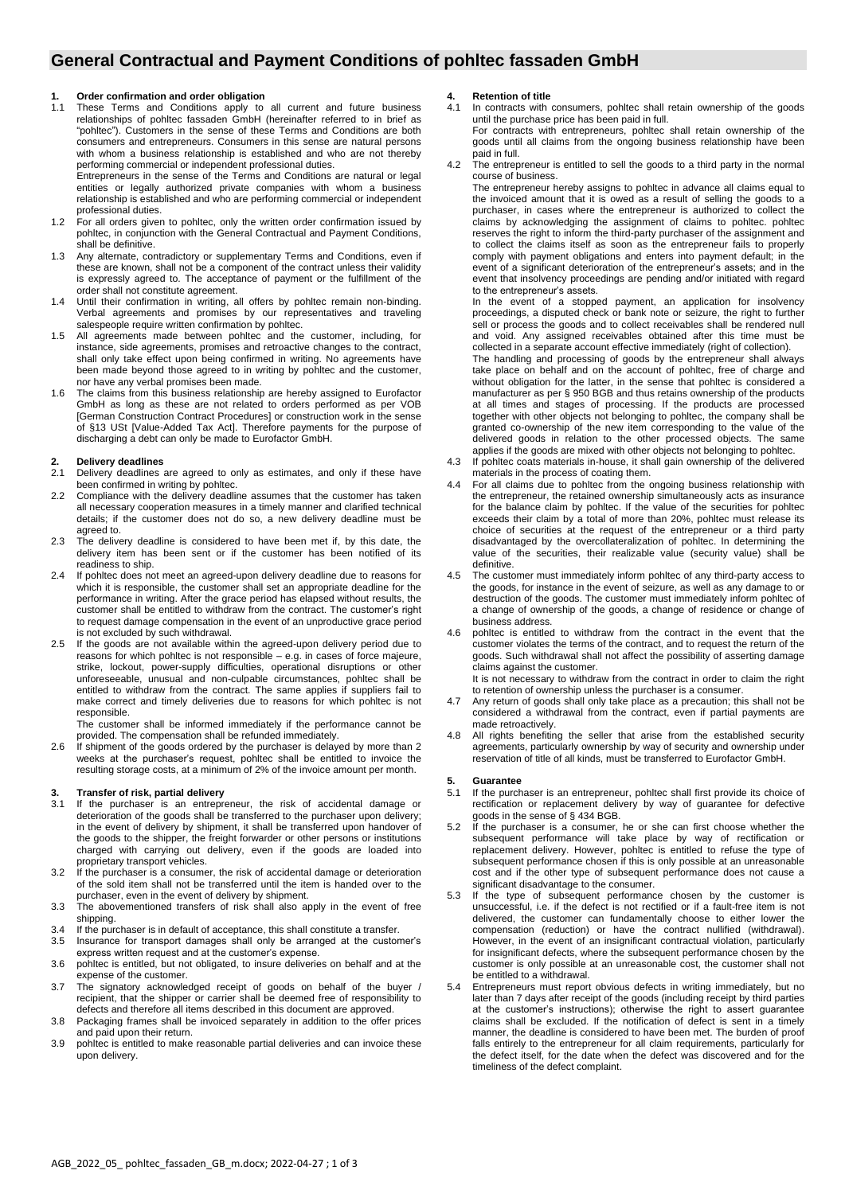# **General Contractual and Payment Conditions of pohltec fassaden GmbH**

#### **1. Order confirmation and order obligation**

1.1 These Terms and Conditions apply to all current and future business relationships of pohltec fassaden GmbH (hereinafter referred to in brief as "pohltec"). Customers in the sense of these Terms and Conditions are both consumers and entrepreneurs. Consumers in this sense are natural persons with whom a business relationship is established and who are not thereby performing commercial or independent professional duties.

Entrepreneurs in the sense of the Terms and Conditions are natural or legal entities or legally authorized private companies with whom a business relationship is established and who are performing commercial or independent professional duties.

- 1.2 For all orders given to pohltec, only the written order confirmation issued by pohltec, in conjunction with the General Contractual and Payment Conditions, shall be definitive.
- 1.3 Any alternate, contradictory or supplementary Terms and Conditions, even if these are known, shall not be a component of the contract unless their validity is expressly agreed to. The acceptance of payment or the fulfillment of the order shall not constitute agreement.
- 1.4 Until their confirmation in writing, all offers by pohltec remain non-binding. Verbal agreements and promises by our representatives and traveling salespeople require written confirmation by pohltec.
- 1.5 All agreements made between pohltec and the customer, including, for instance, side agreements, promises and retroactive changes to the contract, shall only take effect upon being confirmed in writing. No agreements have been made beyond those agreed to in writing by pohltec and the customer, nor have any verbal promises been made.
- 1.6 The claims from this business relationship are hereby assigned to Eurofactor GmbH as long as these are not related to orders performed as per VOB [German Construction Contract Procedures] or construction work in the sense of §13 USt [Value-Added Tax Act]. Therefore payments for the purpose of discharging a debt can only be made to Eurofactor GmbH.

# **2. Delivery deadlines**

- Delivery deadlines are agreed to only as estimates, and only if these have been confirmed in writing by pohltec
- 2.2 Compliance with the delivery deadline assumes that the customer has taken all necessary cooperation measures in a timely manner and clarified technical details; if the customer does not do so, a new delivery deadline must be agreed to.
- 2.3 The delivery deadline is considered to have been met if, by this date, the delivery item has been sent or if the customer has been notified of its readiness to ship.
- 2.4 If pohltec does not meet an agreed-upon delivery deadline due to reasons for which it is responsible, the customer shall set an appropriate deadline for the performance in writing. After the grace period has elapsed without results, the customer shall be entitled to withdraw from the contract. The customer's right to request damage compensation in the event of an unproductive grace period is not excluded by such withdrawal.
- 2.5 If the goods are not available within the agreed-upon delivery period due to reasons for which pohltec is not responsible – e.g. in cases of force majeure, strike, lockout, power-supply difficulties, operational disruptions or other unforeseeable, unusual and non-culpable circumstances, pohltec shall be entitled to withdraw from the contract. The same applies if suppliers fail to make correct and timely deliveries due to reasons for which pohltec is not responsible.

The customer shall be informed immediately if the performance cannot be provided. The compensation shall be refunded immediately.

2.6 If shipment of the goods ordered by the purchaser is delayed by more than 2 weeks at the purchaser's request, pohltec shall be entitled to invoice the resulting storage costs, at a minimum of 2% of the invoice amount per month.

### **3. Transfer of risk, partial delivery**

- 3.1 If the purchaser is an entrepreneur, the risk of accidental damage or deterioration of the goods shall be transferred to the purchaser upon delivery; in the event of delivery by shipment, it shall be transferred upon handover of the goods to the shipper, the freight forwarder or other persons or institutions charged with carrying out delivery, even if the goods are loaded into proprietary transport vehicles.
- 3.2 If the purchaser is a consumer, the risk of accidental damage or deterioration of the sold item shall not be transferred until the item is handed over to the purchaser, even in the event of delivery by shipment.
- 3.3 The abovementioned transfers of risk shall also apply in the event of free shipping.
- 3.4 If the purchaser is in default of acceptance, this shall constitute a transfer.
- 3.5 Insurance for transport damages shall only be arranged at the customer's express written request and at the customer's expense.
- 3.6 pohltec is entitled, but not obligated, to insure deliveries on behalf and at the expense of the customer.
- 3.7 The signatory acknowledged receipt of goods on behalf of the buyer / recipient, that the shipper or carrier shall be deemed free of responsibility to defects and therefore all items described in this document are approved.
- 3.8 Packaging frames shall be invoiced separately in addition to the offer prices and paid upon their return.
- 3.9 pohltec is entitled to make reasonable partial deliveries and can invoice these upon delivery.

#### **4. Retention of title**

- 4.1 In contracts with consumers, pohltec shall retain ownership of the goods until the purchase price has been paid in full. For contracts with entrepreneurs, pohltec shall retain ownership of the goods until all claims from the ongoing business relationship have been paid in full.
- 4.2 The entrepreneur is entitled to sell the goods to a third party in the normal course of business.

The entrepreneur hereby assigns to pohltec in advance all claims equal to the invoiced amount that it is owed as a result of selling the goods to a purchaser, in cases where the entrepreneur is authorized to collect the claims by acknowledging the assignment of claims to pohltec. pohltec reserves the right to inform the third-party purchaser of the assignment and to collect the claims itself as soon as the entrepreneur fails to properly comply with payment obligations and enters into payment default; in the event of a significant deterioration of the entrepreneur's assets; and in the event that insolvency proceedings are pending and/or initiated with regard to the entrepreneur's assets.

In the event of a stopped payment, an application for insolvency proceedings, a disputed check or bank note or seizure, the right to further sell or process the goods and to collect receivables shall be rendered null and void. Any assigned receivables obtained after this time must be collected in a separate account effective immediately (right of collection).

The handling and processing of goods by the entrepreneur shall always take place on behalf and on the account of pohltec, free of charge and without obligation for the latter, in the sense that pohltec is considered a manufacturer as per § 950 BGB and thus retains ownership of the products at all times and stages of processing. If the products are processed together with other objects not belonging to pohltec, the company shall be granted co-ownership of the new item corresponding to the value of the delivered goods in relation to the other processed objects. The same applies if the goods are mixed with other objects not belonging to pohltec.

- 4.3 If pohltec coats materials in-house, it shall gain ownership of the delivered materials in the process of coating them.
- 4.4 For all claims due to pohltec from the ongoing business relationship with the entrepreneur, the retained ownership simultaneously acts as insurance for the balance claim by pohltec. If the value of the securities for pohltec exceeds their claim by a total of more than 20%, pohltec must release its choice of securities at the request of the entrepreneur or a third party disadvantaged by the overcollateralization of pohltec. In determining the value of the securities, their realizable value (security value) shall be definitive.
- 4.5 The customer must immediately inform pohltec of any third-party access to the goods, for instance in the event of seizure, as well as any damage to or destruction of the goods. The customer must immediately inform pohltec of a change of ownership of the goods, a change of residence or change of business address.
- 4.6 pohltec is entitled to withdraw from the contract in the event that the customer violates the terms of the contract, and to request the return of the goods. Such withdrawal shall not affect the possibility of asserting damage claims against the customer.

It is not necessary to withdraw from the contract in order to claim the right to retention of ownership unless the purchaser is a consumer.

- 4.7 Any return of goods shall only take place as a precaution; this shall not be considered a withdrawal from the contract, even if partial payments are made retroactively.
- 4.8 All rights benefiting the seller that arise from the established security agreements, particularly ownership by way of security and ownership under reservation of title of all kinds, must be transferred to Eurofactor GmbH.

#### **5. Guarantee**

- 5.1 If the purchaser is an entrepreneur, pohltec shall first provide its choice of rectification or replacement delivery by way of guarantee for defective goods in the sense of § 434 BGB.
- 5.2 If the purchaser is a consumer, he or she can first choose whether the subsequent performance will take place by way of rectification or replacement delivery. However, pohltec is entitled to refuse the type of subsequent performance chosen if this is only possible at an unreasonable cost and if the other type of subsequent performance does not cause a significant disadvantage to the consumer.
- 5.3 If the type of subsequent performance chosen by the customer is unsuccessful, i.e. if the defect is not rectified or if a fault-free item is not delivered, the customer can fundamentally choose to either lower the compensation (reduction) or have the contract nullified (withdrawal). However, in the event of an insignificant contractual violation, particularly for insignificant defects, where the subsequent performance chosen by the customer is only possible at an unreasonable cost, the customer shall not be entitled to a withdrawal.
- Entrepreneurs must report obvious defects in writing immediately, but no later than 7 days after receipt of the goods (including receipt by third parties at the customer's instructions); otherwise the right to assert guarantee claims shall be excluded. If the notification of defect is sent in a timely manner, the deadline is considered to have been met. The burden of proof falls entirely to the entrepreneur for all claim requirements, particularly for the defect itself, for the date when the defect was discovered and for the timeliness of the defect complaint.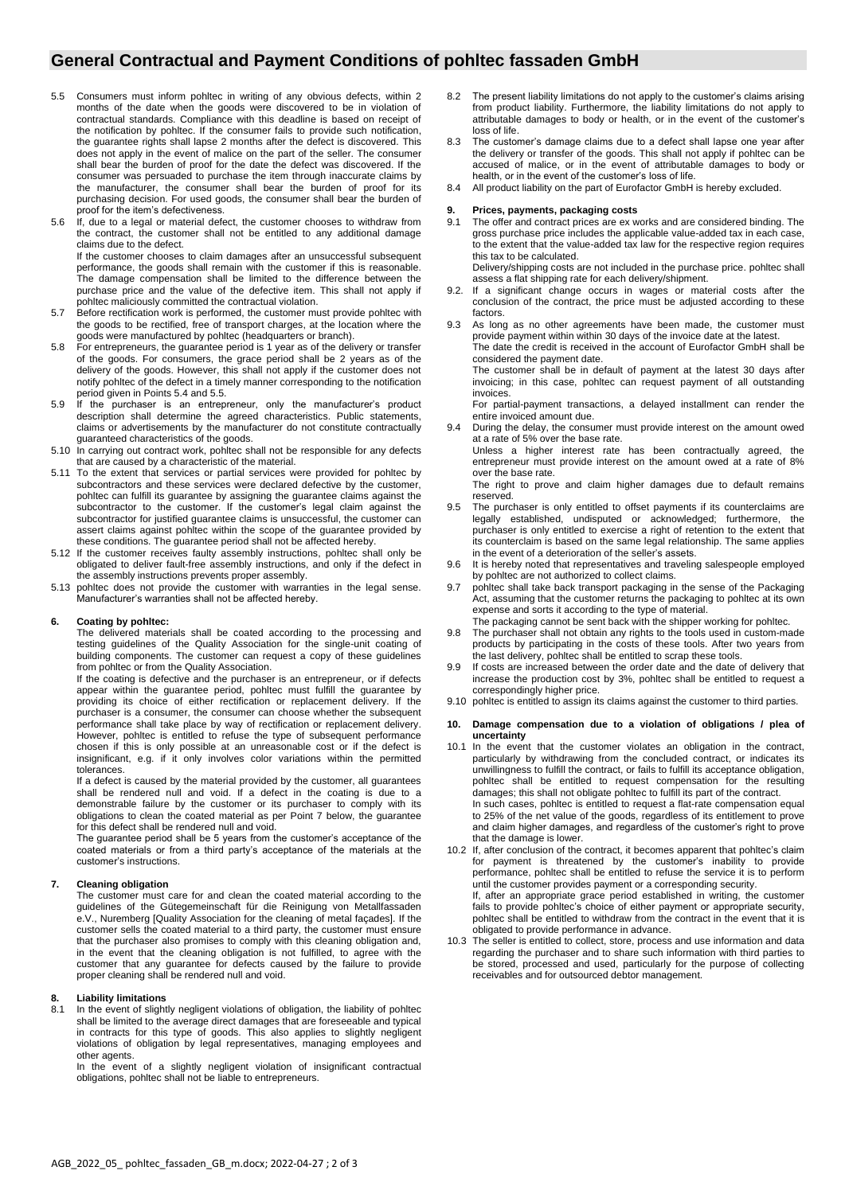## **General Contractual and Payment Conditions of pohltec fassaden GmbH**

- 5.5 Consumers must inform pohltec in writing of any obvious defects, within 2 months of the date when the goods were discovered to be in violation of contractual standards. Compliance with this deadline is based on receipt of the notification by pohltec. If the consumer fails to provide such notification, the guarantee rights shall lapse 2 months after the defect is discovered. This does not apply in the event of malice on the part of the seller. The consumer shall bear the burden of proof for the date the defect was discovered. If the consumer was persuaded to purchase the item through inaccurate claims by the manufacturer, the consumer shall bear the burden of proof for its purchasing decision. For used goods, the consumer shall bear the burden of proof for the item's defectiveness.
- 5.6 If, due to a legal or material defect, the customer chooses to withdraw from the contract, the customer shall not be entitled to any additional damage claims due to the defect. If the customer chooses to claim damages after an unsuccessful subsequent

performance, the goods shall remain with the customer if this is reasonable. The damage compensation shall be limited to the difference between the purchase price and the value of the defective item. This shall not apply if pohltec maliciously committed the contractual violation.

- 5.7 Before rectification work is performed, the customer must provide pohltec with the goods to be rectified, free of transport charges, at the location where the goods were manufactured by pohltec (headquarters or branch).
- 5.8 For entrepreneurs, the guarantee period is 1 year as of the delivery or transfer of the goods. For consumers, the grace period shall be 2 years as of the delivery of the goods. However, this shall not apply if the customer does not notify pohltec of the defect in a timely manner corresponding to the notification period given in Points 5.4 and 5.5.
- 5.9 If the purchaser is an entrepreneur, only the manufacturer's product description shall determine the agreed characteristics. Public statements, claims or advertisements by the manufacturer do not constitute contractually guaranteed characteristics of the goods.
- 5.10 In carrying out contract work, pohltec shall not be responsible for any defects that are caused by a characteristic of the material.
- 5.11 To the extent that services or partial services were provided for pohltec by subcontractors and these services were declared defective by the customer, pohltec can fulfill its guarantee by assigning the guarantee claims against the subcontractor to the customer. If the customer's legal claim against the subcontractor for justified quarantee claims is unsuccessful, the customer can assert claims against pohltec within the scope of the guarantee provided by these conditions. The guarantee period shall not be affected hereby.
- 5.12 If the customer receives faulty assembly instructions, pohltec shall only be obligated to deliver fault-free assembly instructions, and only if the defect in the assembly instructions prevents proper assembly.
- 5.13 pohltec does not provide the customer with warranties in the legal sense. Manufacturer's warranties shall not be affected hereby.

#### **6. Coating by pohltec:**

The delivered materials shall be coated according to the processing and testing guidelines of the Quality Association for the single-unit coating of building components. The customer can request a copy of these guidelines from pohltec or from the Quality Association.

If the coating is defective and the purchaser is an entrepreneur, or if defects appear within the guarantee period, pohltec must fulfill the guarantee by providing its choice of either rectification or replacement delivery. If the purchaser is a consumer, the consumer can choose whether the subsequent performance shall take place by way of rectification or replacement delivery. However, pohltec is entitled to refuse the type of subsequent performance chosen if this is only possible at an unreasonable cost or if the defect is insignificant, e.g. if it only involves color variations within the permitted tolerances.

If a defect is caused by the material provided by the customer, all guarantees shall be rendered null and void. If a defect in the coating is due to a demonstrable failure by the customer or its purchaser to comply with its obligations to clean the coated material as per Point 7 below, the guarantee for this defect shall be rendered null and void.

The guarantee period shall be 5 years from the customer's acceptance of the coated materials or from a third party's acceptance of the materials at the customer's instructions.

#### **7. Cleaning obligation**

The customer must care for and clean the coated material according to the guidelines of the Gütegemeinschaft für die Reinigung von Metallfassaden e.V., Nuremberg [Quality Association for the cleaning of metal façades]. If the customer sells the coated material to a third party, the customer must ensure that the purchaser also promises to comply with this cleaning obligation and, in the event that the cleaning obligation is not fulfilled, to agree with the customer that any guarantee for defects caused by the failure to provide proper cleaning shall be rendered null and void.

### **8. Liability limitations**

8.1 In the event of slightly negligent violations of obligation, the liability of pohltec shall be limited to the average direct damages that are foreseeable and typical in contracts for this type of goods. This also applies to slightly negligent violations of obligation by legal representatives, managing employees and other agents.

In the event of a slightly negligent violation of insignificant contractual obligations, pohltec shall not be liable to entrepreneurs.

- 8.2 The present liability limitations do not apply to the customer's claims arising from product liability. Furthermore, the liability limitations do not apply to attributable damages to body or health, or in the event of the customer's loss of life.
- 8.3 The customer's damage claims due to a defect shall lapse one year after the delivery or transfer of the goods. This shall not apply if pohltec can be accused of malice, or in the event of attributable damages to body or health, or in the event of the customer's loss of life.
- 8.4 All product liability on the part of Eurofactor GmbH is hereby excluded.

# **9. Prices, payments, packaging costs**

The offer and contract prices are ex works and are considered binding. The gross purchase price includes the applicable value-added tax in each case, to the extent that the value-added tax law for the respective region requires this tax to be calculated.

Delivery/shipping costs are not included in the purchase price. pohltec shall assess a flat shipping rate for each delivery/shipment.

- 9.2. If a significant change occurs in wages or material costs after the conclusion of the contract, the price must be adjusted according to these factors.
- 9.3 As long as no other agreements have been made, the customer must provide payment within within 30 days of the invoice date at the latest. The date the credit is received in the account of Eurofactor GmbH shall be considered the payment date.

The customer shall be in default of payment at the latest 30 days after invoicing; in this case, pohltec can request payment of all outstanding invoices.

For partial-payment transactions, a delayed installment can render the entire invoiced amount due.

9.4 During the delay, the consumer must provide interest on the amount owed at a rate of 5% over the base rate.

Unless a higher interest rate has been contractually agreed, the entrepreneur must provide interest on the amount owed at a rate of 8% over the base rate.

The right to prove and claim higher damages due to default remains reserved.

- 9.5 The purchaser is only entitled to offset payments if its counterclaims are legally established, undisputed or acknowledged; furthermore, the purchaser is only entitled to exercise a right of retention to the extent that its counterclaim is based on the same legal relationship. The same applies in the event of a deterioration of the seller's assets.
- 9.6 It is hereby noted that representatives and traveling salespeople employed by pohltec are not authorized to collect claims.
- 9.7 pohltec shall take back transport packaging in the sense of the Packaging Act, assuming that the customer returns the packaging to pohltec at its own expense and sorts it according to the type of material. The packaging cannot be sent back with the shipper working for pohltec.
- 9.8 The purchaser shall not obtain any rights to the tools used in custom-made products by participating in the costs of these tools. After two years from
- the last delivery, pohltec shall be entitled to scrap these tools. 9.9 If costs are increased between the order date and the date of delivery that increase the production cost by 3%, pohltec shall be entitled to request a
- correspondingly higher price. 9.10 pohltec is entitled to assign its claims against the customer to third parties.
- **10. Damage compensation due to a violation of obligations / plea of uncertainty**
- 10.1 In the event that the customer violates an obligation in the contract, particularly by withdrawing from the concluded contract, or indicates its unwillingness to fulfill the contract, or fails to fulfill its acceptance obligation, pohltec shall be entitled to request compensation for the resulting damages; this shall not obligate pohltec to fulfill its part of the contract. In such cases, pohltec is entitled to request a flat-rate compensation equal to 25% of the net value of the goods, regardless of its entitlement to prove and claim higher damages, and regardless of the customer's right to prove
- that the damage is lower. 10.2 If, after conclusion of the contract, it becomes apparent that pohltec's claim for payment is threatened by the customer's inability to provide performance, pohltec shall be entitled to refuse the service it is to perform until the customer provides payment or a corresponding security. If, after an appropriate grace period established in writing, the customer fails to provide pohltec's choice of either payment or appropriate security, pohltec shall be entitled to withdraw from the contract in the event that it is obligated to provide performance in advance.
- 10.3 The seller is entitled to collect, store, process and use information and data regarding the purchaser and to share such information with third parties to be stored, processed and used, particularly for the purpose of collecting receivables and for outsourced debtor management.